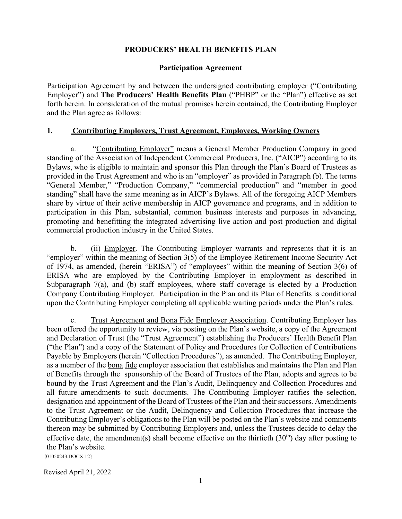### **PRODUCERS' HEALTH BENEFITS PLAN**

#### **Participation Agreement**

Participation Agreement by and between the undersigned contributing employer ("Contributing Employer") and **The Producers' Health Benefits Plan** ("PHBP" or the "Plan") effective as set forth herein. In consideration of the mutual promises herein contained, the Contributing Employer and the Plan agree as follows:

#### **1. Contributing Employers, Trust Agreement, Employees, Working Owners**

a. "Contributing Employer" means a General Member Production Company in good standing of the Association of Independent Commercial Producers, Inc. ("AICP") according to its Bylaws, who is eligible to maintain and sponsor this Plan through the Plan's Board of Trustees as provided in the Trust Agreement and who is an "employer" as provided in Paragraph (b). The terms "General Member," "Production Company," "commercial production" and "member in good standing" shall have the same meaning as in AICP's Bylaws. All of the foregoing AICP Members share by virtue of their active membership in AICP governance and programs, and in addition to participation in this Plan, substantial, common business interests and purposes in advancing, promoting and benefitting the integrated advertising live action and post production and digital commercial production industry in the United States.

b. (ii) Employer. The Contributing Employer warrants and represents that it is an "employer" within the meaning of Section 3(5) of the Employee Retirement Income Security Act of 1974, as amended, (herein "ERISA") of "employees" within the meaning of Section 3(6) of ERISA who are employed by the Contributing Employer in employment as described in Subparagraph 7(a), and (b) staff employees, where staff coverage is elected by a Production Company Contributing Employer. Participation in the Plan and its Plan of Benefits is conditional upon the Contributing Employer completing all applicable waiting periods under the Plan's rules.

c. Trust Agreement and Bona Fide Employer Association. Contributing Employer has been offered the opportunity to review, via posting on the Plan's website, a copy of the Agreement and Declaration of Trust (the "Trust Agreement") establishing the Producers' Health Benefit Plan ("the Plan") and a copy of the Statement of Policy and Procedures for Collection of Contributions Payable by Employers (herein "Collection Procedures"), as amended. The Contributing Employer, as a member of the bona fide employer association that establishes and maintains the Plan and Plan of Benefits through the sponsorship of the Board of Trustees of the Plan, adopts and agrees to be bound by the Trust Agreement and the Plan's Audit, Delinquency and Collection Procedures and all future amendments to such documents. The Contributing Employer ratifies the selection, designation and appointment of the Board of Trustees of the Plan and their successors. Amendments to the Trust Agreement or the Audit, Delinquency and Collection Procedures that increase the Contributing Employer's obligations to the Plan will be posted on the Plan's website and comments thereon may be submitted by Contributing Employers and, unless the Trustees decide to delay the effective date, the amendment(s) shall become effective on the thirtieth  $(30<sup>th</sup>)$  day after posting to the Plan's website.

{01050243.DOCX.12}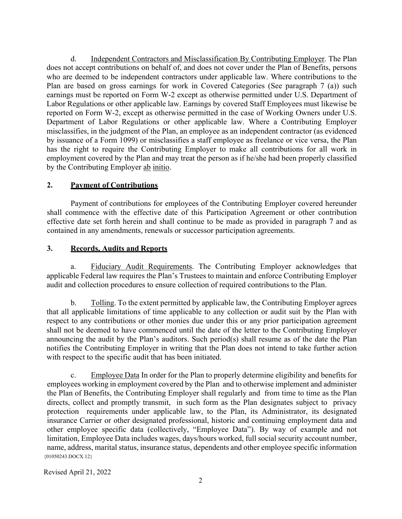d. Independent Contractors and Misclassification By Contributing Employer. The Plan does not accept contributions on behalf of, and does not cover under the Plan of Benefits, persons who are deemed to be independent contractors under applicable law. Where contributions to the Plan are based on gross earnings for work in Covered Categories (See paragraph 7 (a)) such earnings must be reported on Form W-2 except as otherwise permitted under U.S. Department of Labor Regulations or other applicable law. Earnings by covered Staff Employees must likewise be reported on Form W-2, except as otherwise permitted in the case of Working Owners under U.S. Department of Labor Regulations or other applicable law. Where a Contributing Employer misclassifies, in the judgment of the Plan, an employee as an independent contractor (as evidenced by issuance of a Form 1099) or misclassifies a staff employee as freelance or vice versa, the Plan has the right to require the Contributing Employer to make all contributions for all work in employment covered by the Plan and may treat the person as if he/she had been properly classified by the Contributing Employer ab initio.

# **2. Payment of Contributions**

Payment of contributions for employees of the Contributing Employer covered hereunder shall commence with the effective date of this Participation Agreement or other contribution effective date set forth herein and shall continue to be made as provided in paragraph 7 and as contained in any amendments, renewals or successor participation agreements.

# **3. Records, Audits and Reports**

a. Fiduciary Audit Requirements. The Contributing Employer acknowledges that applicable Federal law requires the Plan's Trustees to maintain and enforce Contributing Employer audit and collection procedures to ensure collection of required contributions to the Plan.

b. Tolling. To the extent permitted by applicable law, the Contributing Employer agrees that all applicable limitations of time applicable to any collection or audit suit by the Plan with respect to any contributions or other monies due under this or any prior participation agreement shall not be deemed to have commenced until the date of the letter to the Contributing Employer announcing the audit by the Plan's auditors. Such period(s) shall resume as of the date the Plan notifies the Contributing Employer in writing that the Plan does not intend to take further action with respect to the specific audit that has been initiated.

 ${01050243. \text{DOCX}.12}$ c. Employee Data In order for the Plan to properly determine eligibility and benefits for employees working in employment covered by the Plan and to otherwise implement and administer the Plan of Benefits, the Contributing Employer shall regularly and from time to time as the Plan directs, collect and promptly transmit, in such form as the Plan designates subject to privacy protection requirements under applicable law, to the Plan, its Administrator, its designated insurance Carrier or other designated professional, historic and continuing employment data and other employee specific data (collectively, "Employee Data"). By way of example and not limitation, Employee Data includes wages, days/hours worked, full social security account number, name, address, marital status, insurance status, dependents and other employee specific information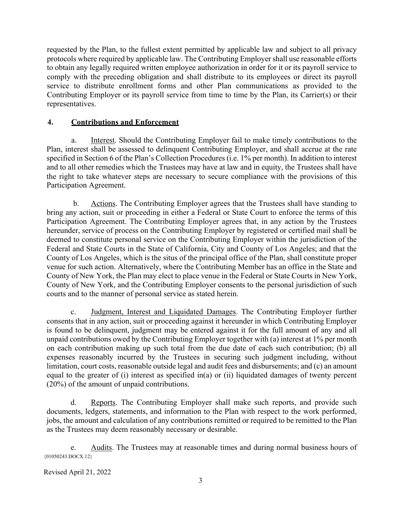requested by the Plan, to the fullest extent permitted by applicable law and subject to all privacy protocols where required by applicable law. The Contributing Employer shall use reasonable efforts to obtain any legally required written employee authorization in order for it or its payroll service to comply with the preceding obligation and shall distribute to its employees or direct its payroll service to distribute enrollment forms and other Plan communications as provided to the Contributing Employer or its payroll service from time to time by the Plan, its Carrier(s) or their representatives.

# **4. Contributions and Enforcement**

a. Interest. Should the Contributing Employer fail to make timely contributions to the Plan, interest shall be assessed to delinquent Contributing Employer, and shall accrue at the rate specified in Section 6 of the Plan's Collection Procedures (i.e. 1% per month). In addition to interest and to all other remedies which the Trustees may have at law and in equity, the Trustees shall have the right to take whatever steps are necessary to secure compliance with the provisions of this Participation Agreement.

b. Actions. The Contributing Employer agrees that the Trustees shall have standing to bring any action, suit or proceeding in either a Federal or State Court to enforce the terms of this Participation Agreement. The Contributing Employer agrees that, in any action by the Trustees hereunder, service of process on the Contributing Employer by registered or certified mail shall be deemed to constitute personal service on the Contributing Employer within the jurisdiction of the Federal and State Courts in the State of California, City and County of Los Angeles; and that the County of Los Angeles, which is the situs of the principal office of the Plan, shall constitute proper venue for such action. Alternatively, where the Contributing Member has an office in the State and County of New York, the Plan may elect to place venue in the Federal or State Courts in New York, County of New York, and the Contributing Employer consents to the personal jurisdiction of such courts and to the manner of personal service as stated herein.

c. Judgment, Interest and Liquidated Damages. The Contributing Employer further consents that in any action, suit or proceeding against it hereunder in which Contributing Employer is found to be delinquent, judgment may be entered against it for the full amount of any and all unpaid contributions owed by the Contributing Employer together with (a) interest at 1% per month on each contribution making up such total from the due date of each such contribution; (b) all expenses reasonably incurred by the Trustees in securing such judgment including, without limitation, court costs, reasonable outside legal and audit fees and disbursements; and (c) an amount equal to the greater of (i) interest as specified in(a) or (ii) liquidated damages of twenty percent (20%) of the amount of unpaid contributions.

d. Reports. The Contributing Employer shall make such reports, and provide such documents, ledgers, statements, and information to the Plan with respect to the work performed, jobs, the amount and calculation of any contributions remitted or required to be remitted to the Plan as the Trustees may deem reasonably necessary or desirable.

{01050243.DOCX.12} e. Audits. The Trustees may at reasonable times and during normal business hours of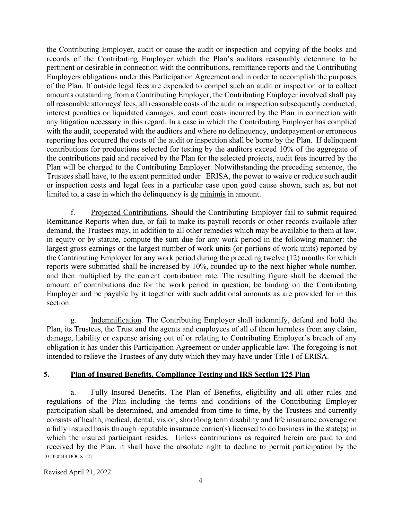the Contributing Employer, audit or cause the audit or inspection and copying of the books and records of the Contributing Employer which the Plan's auditors reasonably determine to be pertinent or desirable in connection with the contributions, remittance reports and the Contributing Employers obligations under this Participation Agreement and in order to accomplish the purposes of the Plan. If outside legal fees are expended to compel such an audit or inspection or to collect amounts outstanding from a Contributing Employer, the Contributing Employer involved shall pay all reasonable attorneys' fees, all reasonable costs of the audit or inspection subsequently conducted, interest penalties or liquidated damages, and court costs incurred by the Plan in connection with any litigation necessary in this regard. In a case in which the Contributing Employer has complied with the audit, cooperated with the auditors and where no delinquency, underpayment or erroneous reporting has occurred the costs of the audit or inspection shall be borne by the Plan. If delinquent contributions for productions selected for testing by the auditors exceed 10% of the aggregate of the contributions paid and received by the Plan for the selected projects, audit fees incurred by the Plan will be charged to the Contributing Employer. Notwithstanding the preceding sentence, the Trustees shall have, to the extent permitted under ERISA, the power to waive or reduce such audit or inspection costs and legal fees in a particular case upon good cause shown, such as, but not limited to, a case in which the delinquency is de minimis in amount.

f. Projected Contributions. Should the Contributing Employer fail to submit required Remittance Reports when due, or fail to make its payroll records or other records available after demand, the Trustees may, in addition to all other remedies which may be available to them at law, in equity or by statute, compute the sum due for any work period in the following manner: the largest gross earnings or the largest number of work units (or portions of work units) reported by the Contributing Employer for any work period during the preceding twelve (12) months for which reports were submitted shall be increased by 10%, rounded up to the next higher whole number, and then multiplied by the current contribution rate. The resulting figure shall be deemed the amount of contributions due for the work period in question, be binding on the Contributing Employer and be payable by it together with such additional amounts as are provided for in this section.

g. Indemnification. The Contributing Employer shall indemnify, defend and hold the Plan, its Trustees, the Trust and the agents and employees of all of them harmless from any claim, damage, liability or expense arising out of or relating to Contributing Employer's breach of any obligation it has under this Participation Agreement or under applicable law. The foregoing is not intended to relieve the Trustees of any duty which they may have under Title I of ERISA.

# **5. Plan of Insured Benefits, Compliance Testing and IRS Section 125 Plan**

 ${01050243. \text{DOCX}.12}$ a. Fully Insured Benefits. The Plan of Benefits, eligibility and all other rules and regulations of the Plan including the terms and conditions of the Contributing Employer participation shall be determined, and amended from time to time, by the Trustees and currently consists of health, medical, dental, vision, short/long term disability and life insurance coverage on a fully insured basis through reputable insurance carrier(s) licensed to do business in the state(s) in which the insured participant resides. Unless contributions as required herein are paid to and received by the Plan, it shall have the absolute right to decline to permit participation by the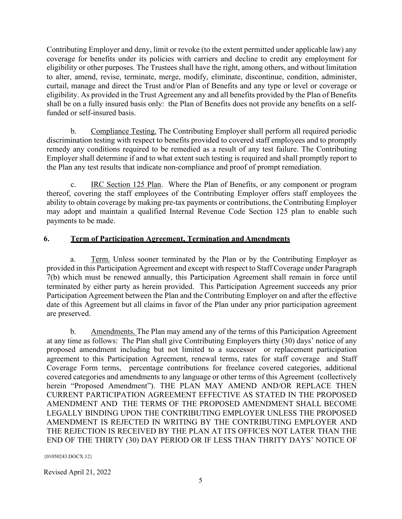Contributing Employer and deny, limit or revoke (to the extent permitted under applicable law) any coverage for benefits under its policies with carriers and decline to credit any employment for eligibility or other purposes. The Trustees shall have the right, among others, and without limitation to alter, amend, revise, terminate, merge, modify, eliminate, discontinue, condition, administer, curtail, manage and direct the Trust and/or Plan of Benefits and any type or level or coverage or eligibility. As provided in the Trust Agreement any and all benefits provided by the Plan of Benefits shall be on a fully insured basis only: the Plan of Benefits does not provide any benefits on a selffunded or self-insured basis.

b. Compliance Testing. The Contributing Employer shall perform all required periodic discrimination testing with respect to benefits provided to covered staff employees and to promptly remedy any conditions required to be remedied as a result of any test failure. The Contributing Employer shall determine if and to what extent such testing is required and shall promptly report to the Plan any test results that indicate non-compliance and proof of prompt remediation.

c. IRC Section 125 Plan. Where the Plan of Benefits, or any component or program thereof, covering the staff employees of the Contributing Employer offers staff employees the ability to obtain coverage by making pre-tax payments or contributions, the Contributing Employer may adopt and maintain a qualified Internal Revenue Code Section 125 plan to enable such payments to be made.

## **6. Term of Participation Agreement, Termination and Amendments**

a. Term. Unless sooner terminated by the Plan or by the Contributing Employer as provided in this Participation Agreement and except with respect to Staff Coverage under Paragraph 7(b) which must be renewed annually, this Participation Agreement shall remain in force until terminated by either party as herein provided. This Participation Agreement succeeds any prior Participation Agreement between the Plan and the Contributing Employer on and after the effective date of this Agreement but all claims in favor of the Plan under any prior participation agreement are preserved.

b. Amendments. The Plan may amend any of the terms of this Participation Agreement at any time as follows: The Plan shall give Contributing Employers thirty (30) days' notice of any proposed amendment including but not limited to a successor or replacement participation agreement to this Participation Agreement, renewal terms, rates for staff coverage and Staff Coverage Form terms, percentage contributions for freelance covered categories, additional covered categories and amendments to any language or other terms of this Agreement (collectively herein "Proposed Amendment"). THE PLAN MAY AMEND AND/OR REPLACE THEN CURRENT PARTICIPATION AGREEMENT EFFECTIVE AS STATED IN THE PROPOSED AMENDMENT AND THE TERMS OF THE PROPOSED AMENDMENT SHALL BECOME LEGALLY BINDING UPON THE CONTRIBUTING EMPLOYER UNLESS THE PROPOSED AMENDMENT IS REJECTED IN WRITING BY THE CONTRIBUTING EMPLOYER AND THE REJECTION IS RECEIVED BY THE PLAN AT ITS OFFICES NOT LATER THAN THE END OF THE THIRTY (30) DAY PERIOD OR IF LESS THAN THRITY DAYS' NOTICE OF

{01050243.DOCX.12}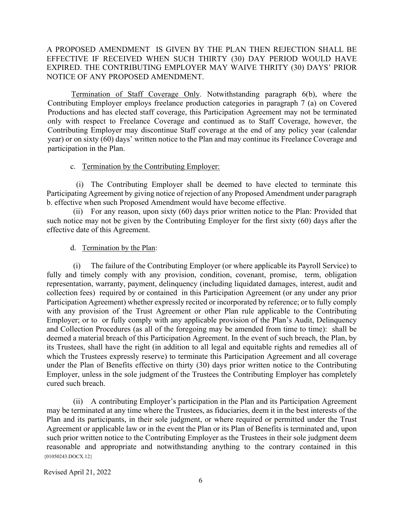## A PROPOSED AMENDMENT IS GIVEN BY THE PLAN THEN REJECTION SHALL BE EFFECTIVE IF RECEIVED WHEN SUCH THIRTY (30) DAY PERIOD WOULD HAVE EXPIRED. THE CONTRIBUTING EMPLOYER MAY WAIVE THRITY (30) DAYS' PRIOR NOTICE OF ANY PROPOSED AMENDMENT.

Termination of Staff Coverage Only. Notwithstanding paragraph 6(b), where the Contributing Employer employs freelance production categories in paragraph 7 (a) on Covered Productions and has elected staff coverage, this Participation Agreement may not be terminated only with respect to Freelance Coverage and continued as to Staff Coverage, however, the Contributing Employer may discontinue Staff coverage at the end of any policy year (calendar year) or on sixty (60) days' written notice to the Plan and may continue its Freelance Coverage and participation in the Plan.

#### c. Termination by the Contributing Employer:

(i) The Contributing Employer shall be deemed to have elected to terminate this Participating Agreement by giving notice of rejection of any Proposed Amendment under paragraph b. effective when such Proposed Amendment would have become effective.

(ii) For any reason, upon sixty (60) days prior written notice to the Plan: Provided that such notice may not be given by the Contributing Employer for the first sixty (60) days after the effective date of this Agreement.

### d. Termination by the Plan:

(i) The failure of the Contributing Employer (or where applicable its Payroll Service) to fully and timely comply with any provision, condition, covenant, promise, term, obligation representation, warranty, payment, delinquency (including liquidated damages, interest, audit and collection fees) required by or contained in this Participation Agreement (or any under any prior Participation Agreement) whether expressly recited or incorporated by reference; or to fully comply with any provision of the Trust Agreement or other Plan rule applicable to the Contributing Employer; or to or fully comply with any applicable provision of the Plan's Audit, Delinquency and Collection Procedures (as all of the foregoing may be amended from time to time): shall be deemed a material breach of this Participation Agreement. In the event of such breach, the Plan, by its Trustees, shall have the right (in addition to all legal and equitable rights and remedies all of which the Trustees expressly reserve) to terminate this Participation Agreement and all coverage under the Plan of Benefits effective on thirty (30) days prior written notice to the Contributing Employer, unless in the sole judgment of the Trustees the Contributing Employer has completely cured such breach.

{01050243.DOCX.12} (ii) A contributing Employer's participation in the Plan and its Participation Agreement may be terminated at any time where the Trustees, as fiduciaries, deem it in the best interests of the Plan and its participants, in their sole judgment, or where required or permitted under the Trust Agreement or applicable law or in the event the Plan or its Plan of Benefits is terminated and, upon such prior written notice to the Contributing Employer as the Trustees in their sole judgment deem reasonable and appropriate and notwithstanding anything to the contrary contained in this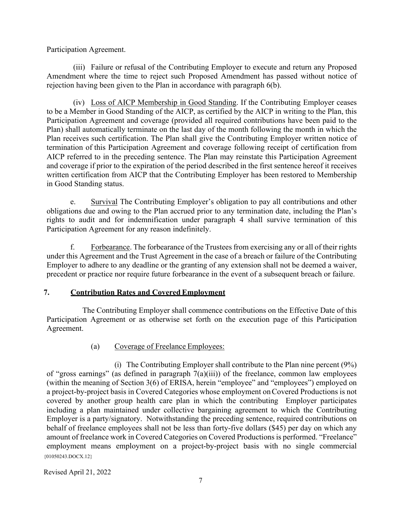Participation Agreement.

(iii) Failure or refusal of the Contributing Employer to execute and return any Proposed Amendment where the time to reject such Proposed Amendment has passed without notice of rejection having been given to the Plan in accordance with paragraph  $6(b)$ .

(iv) Loss of AICP Membership in Good Standing. If the Contributing Employer ceases to be a Member in Good Standing of the AICP, as certified by the AICP in writing to the Plan, this Participation Agreement and coverage (provided all required contributions have been paid to the Plan) shall automatically terminate on the last day of the month following the month in which the Plan receives such certification. The Plan shall give the Contributing Employer written notice of termination of this Participation Agreement and coverage following receipt of certification from AICP referred to in the preceding sentence. The Plan may reinstate this Participation Agreement and coverage if prior to the expiration of the period described in the first sentence hereof it receives written certification from AICP that the Contributing Employer has been restored to Membership in Good Standing status.

e. Survival The Contributing Employer's obligation to pay all contributions and other obligations due and owing to the Plan accrued prior to any termination date, including the Plan's rights to audit and for indemnification under paragraph 4 shall survive termination of this Participation Agreement for any reason indefinitely.

f. Forbearance. The forbearance of the Trustees from exercising any or all of their rights under this Agreement and the Trust Agreement in the case of a breach or failure of the Contributing Employer to adhere to any deadline or the granting of any extension shall not be deemed a waiver, precedent or practice nor require future forbearance in the event of a subsequent breach or failure.

# **7. Contribution Rates and Covered Employment**

The Contributing Employer shall commence contributions on the Effective Date of this Participation Agreement or as otherwise set forth on the execution page of this Participation Agreement.

# (a) Coverage of Freelance Employees:

 ${01050243. \text{DOCX}.12}$ (i) The Contributing Employer shall contribute to the Plan nine percent (9%) of "gross earnings" (as defined in paragraph  $7(a)(iii)$ ) of the freelance, common law employees (within the meaning of Section 3(6) of ERISA, herein "employee" and "employees") employed on a project-by-project basis in Covered Categories whose employment onCovered Productions is not covered by another group health care plan in which the contributing Employer participates including a plan maintained under collective bargaining agreement to which the Contributing Employer is a party/signatory. Notwithstanding the preceding sentence, required contributions on behalf of freelance employees shall not be less than forty-five dollars (\$45) per day on which any amount of freelance work in Covered Categories on Covered Productions is performed. "Freelance" employment means employment on a project-by-project basis with no single commercial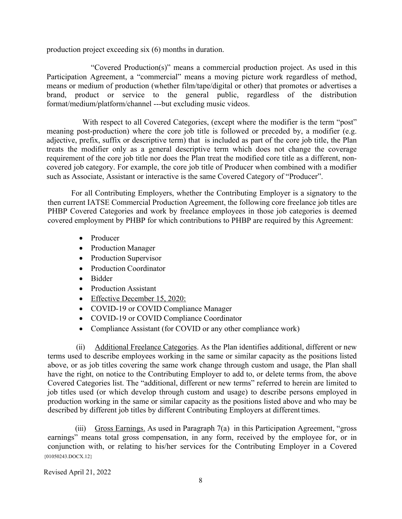production project exceeding six (6) months in duration.

"Covered Production(s)" means a commercial production project. As used in this Participation Agreement, a "commercial" means a moving picture work regardless of method, means or medium of production (whether film/tape/digital or other) that promotes or advertises a brand, product or service to the general public, regardless of the distribution format/medium/platform/channel ---but excluding music videos.

With respect to all Covered Categories, (except where the modifier is the term "post" meaning post-production) where the core job title is followed or preceded by, a modifier (e.g. adjective, prefix, suffix or descriptive term) that is included as part of the core job title, the Plan treats the modifier only as a general descriptive term which does not change the coverage requirement of the core job title nor does the Plan treat the modified core title as a different, noncovered job category. For example, the core job title of Producer when combined with a modifier such as Associate, Assistant or interactive is the same Covered Category of "Producer".

For all Contributing Employers, whether the Contributing Employer is a signatory to the then current IATSE Commercial Production Agreement, the following core freelance job titles are PHBP Covered Categories and work by freelance employees in those job categories is deemed covered employment by PHBP for which contributions to PHBP are required by this Agreement:

- Producer
- Production Manager
- Production Supervisor
- Production Coordinator
- Bidder
- Production Assistant
- Effective December 15, 2020:
- COVID-19 or COVID Compliance Manager
- COVID-19 or COVID Compliance Coordinator
- Compliance Assistant (for COVID or any other compliance work)

(ii) Additional Freelance Categories. As the Plan identifies additional, different or new terms used to describe employees working in the same or similar capacity as the positions listed above, or as job titles covering the same work change through custom and usage, the Plan shall have the right, on notice to the Contributing Employer to add to, or delete terms from, the above Covered Categories list. The "additional, different or new terms" referred to herein are limited to job titles used (or which develop through custom and usage) to describe persons employed in production working in the same or similar capacity as the positions listed above and who may be described by different job titles by different Contributing Employers at different times.

 ${01050243. \text{DOCX}.12}$ (iii) Gross Earnings. As used in Paragraph 7(a) in this Participation Agreement, "gross earnings" means total gross compensation, in any form, received by the employee for, or in conjunction with, or relating to his/her services for the Contributing Employer in a Covered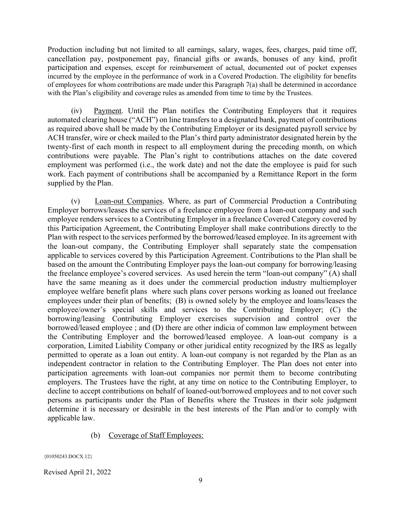Production including but not limited to all earnings, salary, wages, fees, charges, paid time off, cancellation pay, postponement pay, financial gifts or awards, bonuses of any kind, profit participation and expenses, except for reimbursement of actual, documented out of pocket expenses incurred by the employee in the performance of work in a Covered Production. The eligibility for benefits of employees for whom contributions are made under this Paragraph 7(a) shall be determined in accordance with the Plan's eligibility and coverage rules as amended from time to time by the Trustees.

(iv) Payment. Until the Plan notifies the Contributing Employers that it requires automated clearing house ("ACH") on line transfers to a designated bank, payment of contributions as required above shall be made by the Contributing Employer or its designated payroll service by ACH transfer, wire or check mailed to the Plan's third party administrator designated herein by the twenty-first of each month in respect to all employment during the preceding month, on which contributions were payable. The Plan's right to contributions attaches on the date covered employment was performed (i.e., the work date) and not the date the employee is paid for such work. Each payment of contributions shall be accompanied by a Remittance Report in the form supplied by the Plan.

(v) Loan-out Companies. Where, as part of Commercial Production a Contributing Employer borrows/leases the services of a freelance employee from a loan-out company and such employee renders services to a Contributing Employer in a freelance Covered Category covered by this Participation Agreement, the Contributing Employer shall make contributions directly to the Plan with respect to the services performed by the borrowed/leased employee. In its agreement with the loan-out company, the Contributing Employer shall separately state the compensation applicable to services covered by this Participation Agreement. Contributions to the Plan shall be based on the amount the Contributing Employer pays the loan-out company for borrowing/leasing the freelance employee's covered services. As used herein the term "loan-out company" (A) shall have the same meaning as it does under the commercial production industry multiemployer employee welfare benefit plans where such plans cover persons working as loaned out freelance employees under their plan of benefits; (B) is owned solely by the employee and loans/leases the employee/owner's special skills and services to the Contributing Employer; (C) the borrowing/leasing Contributing Employer exercises supervision and control over the borrowed/leased employee ; and (D) there are other indicia of common law employment between the Contributing Employer and the borrowed/leased employee. A loan-out company is a corporation, Limited Liability Company or other juridical entity recognized by the IRS as legally permitted to operate as a loan out entity. A loan-out company is not regarded by the Plan as an independent contractor in relation to the Contributing Employer. The Plan does not enter into participation agreements with loan-out companies nor permit them to become contributing employers. The Trustees have the right, at any time on notice to the Contributing Employer, to decline to accept contributions on behalf of loaned-out/borrowed employees and to not cover such persons as participants under the Plan of Benefits where the Trustees in their sole judgment determine it is necessary or desirable in the best interests of the Plan and/or to comply with applicable law.

### (b) Coverage of Staff Employees:

{01050243.DOCX.12}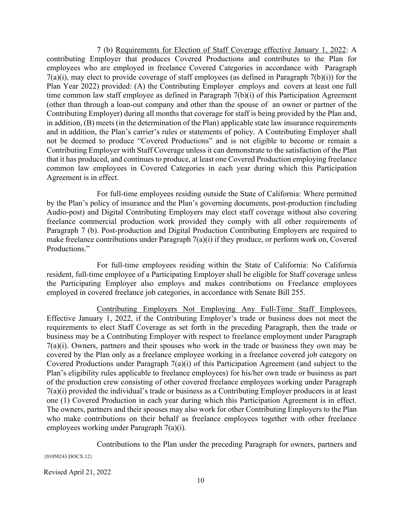7 (b) Requirements for Election of Staff Coverage effective January 1, 2022: A contributing Employer that produces Covered Productions and contributes to the Plan for employees who are employed in freelance Covered Categories in accordance with Paragraph  $7(a)(i)$ , may elect to provide coverage of staff employees (as defined in Paragraph  $7(b)(i)$ ) for the Plan Year 2022) provided: (A) the Contributing Employer employs and covers at least one full time common law staff employee as defined in Paragraph 7(b)(i) of this Participation Agreement (other than through a loan-out company and other than the spouse of an owner or partner of the Contributing Employer) during all months that coverage for staff is being provided by the Plan and, in addition, (B) meets (in the determination of the Plan) applicable state law insurance requirements and in addition, the Plan's carrier's rules or statements of policy. A Contributing Employer shall not be deemed to produce "Covered Productions" and is not eligible to become or remain a Contributing Employer with Staff Coverage unless it can demonstrate to the satisfaction of the Plan that it has produced, and continues to produce, at least one Covered Production employing freelance common law employees in Covered Categories in each year during which this Participation Agreement is in effect.

For full-time employees residing outside the State of California: Where permitted by the Plan's policy of insurance and the Plan's governing documents, post-production (including Audio-post) and Digital Contributing Employers may elect staff coverage without also covering freelance commercial production work provided they comply with all other requirements of Paragraph 7 (b). Post-production and Digital Production Contributing Employers are required to make freelance contributions under Paragraph 7(a)(i) if they produce, or perform work on, Covered Productions."

For full-time employees residing within the State of California: No California resident, full-time employee of a Participating Employer shall be eligible for Staff coverage unless the Participating Employer also employs and makes contributions on Freelance employees employed in covered freelance job categories, in accordance with Senate Bill 255.

Contributing Employers Not Employing Any Full-Time Staff Employees. Effective January 1, 2022, if the Contributing Employer's trade or business does not meet the requirements to elect Staff Coverage as set forth in the preceding Paragraph, then the trade or business may be a Contributing Employer with respect to freelance employment under Paragraph 7(a)(i). Owners, partners and their spouses who work in the trade or business they own may be covered by the Plan only as a freelance employee working in a freelance covered job category on Covered Productions under Paragraph 7(a)(i) of this Participation Agreement (and subject to the Plan's eligibility rules applicable to freelance employees) for his/her own trade or business as part of the production crew consisting of other covered freelance employees working under Paragraph 7(a)(i) provided the individual's trade or business as a Contributing Employer producers in at least one (1) Covered Production in each year during which this Participation Agreement is in effect. The owners, partners and their spouses may also work for other Contributing Employers to the Plan who make contributions on their behalf as freelance employees together with other freelance employees working under Paragraph 7(a)(i).

Contributions to the Plan under the preceding Paragraph for owners, partners and

{01050243.DOCX.12}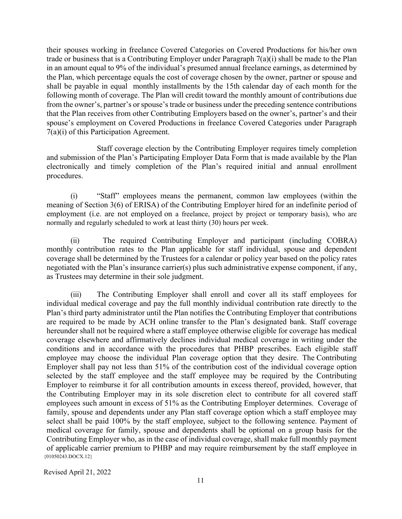their spouses working in freelance Covered Categories on Covered Productions for his/her own trade or business that is a Contributing Employer under Paragraph 7(a)(i) shall be made to the Plan in an amount equal to 9% of the individual's presumed annual freelance earnings, as determined by the Plan, which percentage equals the cost of coverage chosen by the owner, partner or spouse and shall be payable in equal monthly installments by the 15th calendar day of each month for the following month of coverage. The Plan will credit toward the monthly amount of contributions due from the owner's, partner's or spouse's trade or business under the preceding sentence contributions that the Plan receives from other Contributing Employers based on the owner's, partner's and their spouse's employment on Covered Productions in freelance Covered Categories under Paragraph 7(a)(i) of this Participation Agreement.

Staff coverage election by the Contributing Employer requires timely completion and submission of the Plan's Participating Employer Data Form that is made available by the Plan electronically and timely completion of the Plan's required initial and annual enrollment procedures.

(i) "Staff" employees means the permanent, common law employees (within the meaning of Section 3(6) of ERISA) of the Contributing Employer hired for an indefinite period of employment (i.e. are not employed on a freelance, project by project or temporary basis), who are normally and regularly scheduled to work at least thirty (30) hours per week.

(ii) The required Contributing Employer and participant (including COBRA) monthly contribution rates to the Plan applicable for staff individual, spouse and dependent coverage shall be determined by the Trustees for a calendar or policy year based on the policy rates negotiated with the Plan's insurance carrier(s) plus such administrative expense component, if any, as Trustees may determine in their sole judgment.

 ${01050243.DOCX.12}$ (iii) The Contributing Employer shall enroll and cover all its staff employees for individual medical coverage and pay the full monthly individual contribution rate directly to the Plan's third party administrator until the Plan notifies the Contributing Employer that contributions are required to be made by ACH online transfer to the Plan's designated bank. Staff coverage hereunder shall not be required where a staff employee otherwise eligible for coverage has medical coverage elsewhere and affirmatively declines individual medical coverage in writing under the conditions and in accordance with the procedures that PHBP prescribes. Each eligible staff employee may choose the individual Plan coverage option that they desire. The Contributing Employer shall pay not less than 51% of the contribution cost of the individual coverage option selected by the staff employee and the staff employee may be required by the Contributing Employer to reimburse it for all contribution amounts in excess thereof, provided, however, that the Contributing Employer may in its sole discretion elect to contribute for all covered staff employees such amount in excess of 51% as the Contributing Employer determines. Coverage of family, spouse and dependents under any Plan staff coverage option which a staff employee may select shall be paid 100% by the staff employee, subject to the following sentence. Payment of medical coverage for family, spouse and dependents shall be optional on a group basis for the Contributing Employer who, as in the case of individual coverage, shall make full monthly payment of applicable carrier premium to PHBP and may require reimbursement by the staff employee in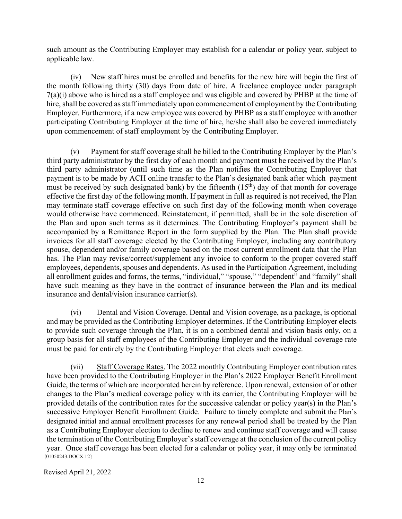such amount as the Contributing Employer may establish for a calendar or policy year, subject to applicable law.

(iv) New staff hires must be enrolled and benefits for the new hire will begin the first of the month following thirty (30) days from date of hire. A freelance employee under paragraph 7(a)(i) above who is hired as a staff employee and was eligible and covered by PHBP at the time of hire, shall be covered as staff immediately upon commencement of employment by the Contributing Employer. Furthermore, if a new employee was covered by PHBP as a staff employee with another participating Contributing Employer at the time of hire, he/she shall also be covered immediately upon commencement of staff employment by the Contributing Employer.

(v) Payment for staff coverage shall be billed to the Contributing Employer by the Plan's third party administrator by the first day of each month and payment must be received by the Plan's third party administrator (until such time as the Plan notifies the Contributing Employer that payment is to be made by ACH online transfer to the Plan's designated bank after which payment must be received by such designated bank) by the fifteenth  $(15<sup>th</sup>)$  day of that month for coverage effective the first day of the following month. If payment in full as required is not received, the Plan may terminate staff coverage effective on such first day of the following month when coverage would otherwise have commenced. Reinstatement, if permitted, shall be in the sole discretion of the Plan and upon such terms as it determines. The Contributing Employer's payment shall be accompanied by a Remittance Report in the form supplied by the Plan. The Plan shall provide invoices for all staff coverage elected by the Contributing Employer, including any contributory spouse, dependent and/or family coverage based on the most current enrollment data that the Plan has. The Plan may revise/correct/supplement any invoice to conform to the proper covered staff employees, dependents, spouses and dependents. As used in the Participation Agreement, including all enrollment guides and forms, the terms, "individual," "spouse," "dependent" and "family" shall have such meaning as they have in the contract of insurance between the Plan and its medical insurance and dental/vision insurance carrier(s).

(vi) Dental and Vision Coverage. Dental and Vision coverage, as a package, is optional and may be provided as the Contributing Employer determines. If the Contributing Employer elects to provide such coverage through the Plan, it is on a combined dental and vision basis only, on a group basis for all staff employees of the Contributing Employer and the individual coverage rate must be paid for entirely by the Contributing Employer that elects such coverage.

 ${01050243.DOCX.12}$ (vii) Staff Coverage Rates. The 2022 monthly Contributing Employer contribution rates have been provided to the Contributing Employer in the Plan's 2022 Employer Benefit Enrollment Guide, the terms of which are incorporated herein by reference. Upon renewal, extension of or other changes to the Plan's medical coverage policy with its carrier, the Contributing Employer will be provided details of the contribution rates for the successive calendar or policy year(s) in the Plan's successive Employer Benefit Enrollment Guide. Failure to timely complete and submit the Plan's designated initial and annual enrollment processes for any renewal period shall be treated by the Plan as a Contributing Employer election to decline to renew and continue staff coverage and will cause the termination of the Contributing Employer's staff coverage at the conclusion of the current policy year. Once staff coverage has been elected for a calendar or policy year, it may only be terminated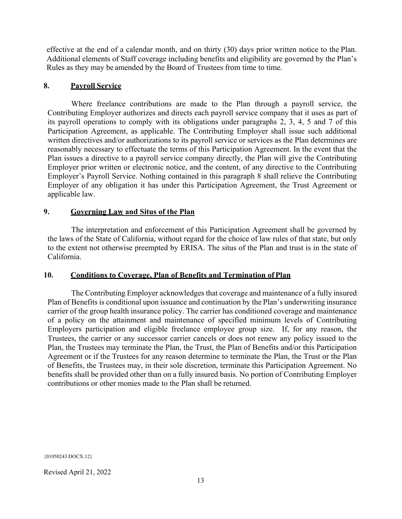effective at the end of a calendar month, and on thirty (30) days prior written notice to the Plan. Additional elements of Staff coverage including benefits and eligibility are governed by the Plan's Rules as they may be amended by the Board of Trustees from time to time.

### **8. Payroll Service**

Where freelance contributions are made to the Plan through a payroll service, the Contributing Employer authorizes and directs each payroll service company that it uses as part of its payroll operations to comply with its obligations under paragraphs 2, 3, 4, 5 and 7 of this Participation Agreement, as applicable. The Contributing Employer shall issue such additional written directives and/or authorizations to its payroll service or services as the Plan determines are reasonably necessary to effectuate the terms of this Participation Agreement. In the event that the Plan issues a directive to a payroll service company directly, the Plan will give the Contributing Employer prior written or electronic notice, and the content, of any directive to the Contributing Employer's Payroll Service. Nothing contained in this paragraph 8 shall relieve the Contributing Employer of any obligation it has under this Participation Agreement, the Trust Agreement or applicable law.

### **9. Governing Law and Situs of the Plan**

The interpretation and enforcement of this Participation Agreement shall be governed by the laws of the State of California, without regard for the choice of law rules of that state, but only to the extent not otherwise preempted by ERISA. The situs of the Plan and trust is in the state of California.

### **10. Conditions to Coverage, Plan of Benefits and Termination ofPlan**

The Contributing Employer acknowledges that coverage and maintenance of a fully insured Plan of Benefits is conditional upon issuance and continuation by the Plan's underwriting insurance carrier of the group health insurance policy. The carrier has conditioned coverage and maintenance of a policy on the attainment and maintenance of specified minimum levels of Contributing Employers participation and eligible freelance employee group size. If, for any reason, the Trustees, the carrier or any successor carrier cancels or does not renew any policy issued to the Plan, the Trustees may terminate the Plan, the Trust, the Plan of Benefits and/or this Participation Agreement or if the Trustees for any reason determine to terminate the Plan, the Trust or the Plan of Benefits, the Trustees may, in their sole discretion, terminate this Participation Agreement. No benefits shall be provided other than on a fully insured basis. No portion of Contributing Employer contributions or other monies made to the Plan shall be returned.

{01050243.DOCX.12}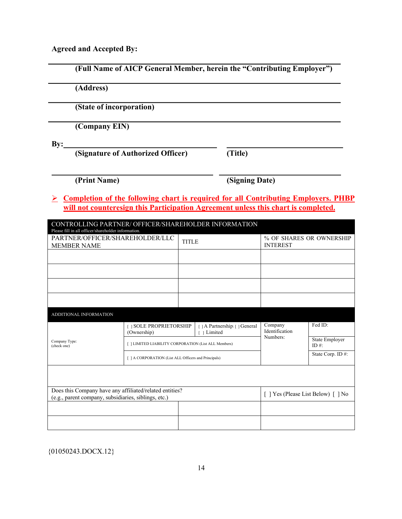**Agreed and Accepted By:**

| (Address)                                              |                                                                                           |                                               |                           |                                             |  |
|--------------------------------------------------------|-------------------------------------------------------------------------------------------|-----------------------------------------------|---------------------------|---------------------------------------------|--|
|                                                        | (State of incorporation)                                                                  |                                               |                           |                                             |  |
|                                                        | (Company EIN)                                                                             |                                               |                           |                                             |  |
| $\mathbf{By:}$                                         | (Signature of Authorized Officer)                                                         | (Title)                                       |                           |                                             |  |
| (Print Name)                                           |                                                                                           |                                               | (Signing Date)            |                                             |  |
|                                                        | <b>Completion of the following chart is required for all Contributing Employers. PHBP</b> |                                               |                           |                                             |  |
|                                                        | will not counteresign this Participation Agreement unless this chart is completed.        |                                               |                           |                                             |  |
| Please fill in all officer/shareholder information.    | CONTROLLING PARTNER/ OFFICER/SHAREHOLDER INFORMATION                                      |                                               |                           |                                             |  |
| PARTNER/OFFICER/SHAREHOLDER/LLC<br><b>MEMBER NAME</b>  |                                                                                           |                                               |                           | % OF SHARES OR OWNERSHIP<br><b>INTEREST</b> |  |
|                                                        |                                                                                           | <b>TITLE</b>                                  |                           |                                             |  |
|                                                        |                                                                                           |                                               |                           |                                             |  |
|                                                        |                                                                                           |                                               |                           |                                             |  |
|                                                        |                                                                                           |                                               |                           |                                             |  |
|                                                        |                                                                                           |                                               |                           |                                             |  |
|                                                        |                                                                                           |                                               |                           |                                             |  |
|                                                        | [ ] SOLE PROPRIETORSHIP                                                                   | [ ] A Partnership: [ ] General<br>[ 1 Limited | Company<br>Identification | Fed ID:                                     |  |
|                                                        | (Ownership)<br>[ ] LIMITED LIABILITY CORPORATION (List ALL Members)                       |                                               | Numbers:                  | ID #:                                       |  |
|                                                        | [ ] A CORPORATION (List ALL Officers and Principals)                                      |                                               |                           | State Employer<br>State Corp. ID#:          |  |
|                                                        |                                                                                           |                                               |                           |                                             |  |
| ADDITIONAL INFORMATION<br>Company Type:<br>(check one) | Does this Company have any affiliated/related entities?                                   |                                               |                           |                                             |  |
|                                                        | (e.g., parent company, subsidiaries, siblings, etc.)                                      |                                               |                           | [] Yes (Please List Below) [] No            |  |

 ${01050243. \text{DOCX}.12}$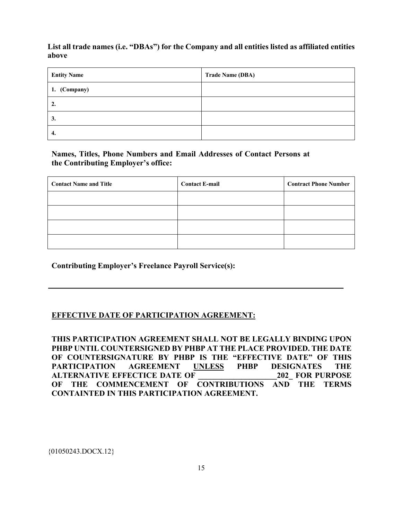## **List all trade names (i.e. "DBAs") for the Company and all entities listed as affiliated entities above**

| <b>Entity Name</b> | <b>Trade Name (DBA)</b> |
|--------------------|-------------------------|
| 1. (Company)       |                         |
| 2.                 |                         |
| 3.                 |                         |
| 4.                 |                         |

## **Names, Titles, Phone Numbers and Email Addresses of Contact Persons at the Contributing Employer's office:**

| <b>Contact Name and Title</b> | <b>Contact E-mail</b> | <b>Contract Phone Number</b> |
|-------------------------------|-----------------------|------------------------------|
|                               |                       |                              |
|                               |                       |                              |
|                               |                       |                              |
|                               |                       |                              |

**Contributing Employer's Freelance Payroll Service(s):**

# **EFFECTIVE DATE OF PARTICIPATION AGREEMENT:**

**THIS PARTICIPATION AGREEMENT SHALL NOT BE LEGALLY BINDING UPON PHBP UNTIL COUNTERSIGNED BY PHBP AT THE PLACE PROVIDED. THE DATE OF COUNTERSIGNATURE BY PHBP IS THE "EFFECTIVE DATE" OF THIS PARTICIPATION AGREEMENT UNLESS PHBP DESIGNATES THE ALTERNATIVE EFFECTICE DATE OF**  $202$  **FOR PURPOSE OF THE COMMENCEMENT OF CONTRIBUTIONS AND THE TERMS CONTAINTED IN THIS PARTICIPATION AGREEMENT.**

{01050243.DOCX.12}